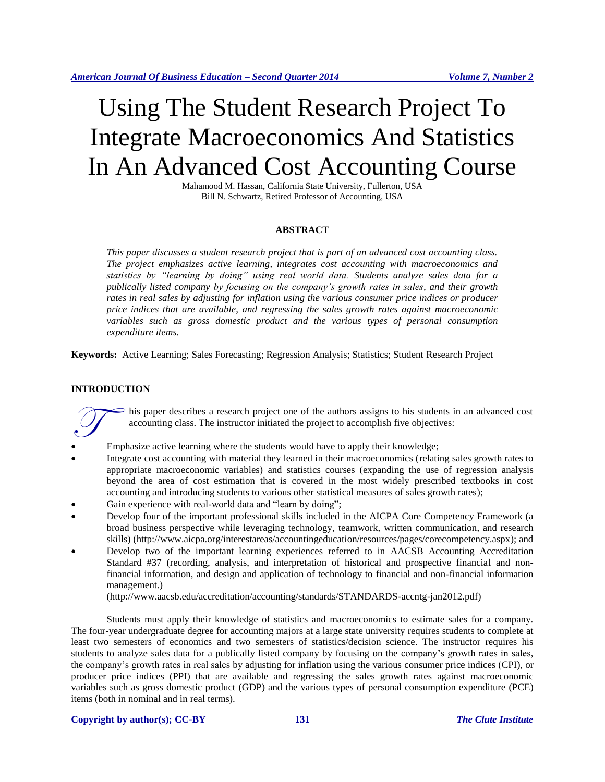# Using The Student Research Project To Integrate Macroeconomics And Statistics In An Advanced Cost Accounting Course

Mahamood M. Hassan, California State University, Fullerton, USA Bill N. Schwartz, Retired Professor of Accounting, USA

#### **ABSTRACT**

*This paper discusses a student research project that is part of an advanced cost accounting class. The project emphasizes active learning, integrates cost accounting with macroeconomics and statistics by "learning by doing" using real world data. Students analyze sales data for a publically listed company by focusing on the company's growth rates in sales, and their growth rates in real sales by adjusting for inflation using the various consumer price indices or producer price indices that are available, and regressing the sales growth rates against macroeconomic variables such as gross domestic product and the various types of personal consumption expenditure items.*

**Keywords:** Active Learning; Sales Forecasting; Regression Analysis; Statistics; Student Research Project

#### **INTRODUCTION**

his paper describes a research project one of the authors assigns to his students in an advanced cost accounting class. The instructor initiated the project to accomplish five objectives:

- Emphasize active learning where the students would have to apply their knowledge;  $\bigcirc$
- Integrate cost accounting with material they learned in their macroeconomics (relating sales growth rates to appropriate macroeconomic variables) and statistics courses (expanding the use of regression analysis beyond the area of cost estimation that is covered in the most widely prescribed textbooks in cost accounting and introducing students to various other statistical measures of sales growth rates);
- Gain experience with real-world data and "learn by doing";
- Develop four of the important professional skills included in the AICPA Core Competency Framework (a broad business perspective while leveraging technology, teamwork, written communication, and research skills) (http://www.aicpa.org/interestareas/accountingeducation/resources/pages/corecompetency.aspx); and
- Develop two of the important learning experiences referred to in AACSB Accounting Accreditation Standard #37 (recording, analysis, and interpretation of historical and prospective financial and nonfinancial information, and design and application of technology to financial and non-financial information management.)

(http://www.aacsb.edu/accreditation/accounting/standards/STANDARDS-accntg-jan2012.pdf)

Students must apply their knowledge of statistics and macroeconomics to estimate sales for a company. The four-year undergraduate degree for accounting majors at a large state university requires students to complete at least two semesters of economics and two semesters of statistics/decision science. The instructor requires his students to analyze sales data for a publically listed company by focusing on the company's growth rates in sales, the company's growth rates in real sales by adjusting for inflation using the various consumer price indices (CPI), or producer price indices (PPI) that are available and regressing the sales growth rates against macroeconomic variables such as gross domestic product (GDP) and the various types of personal consumption expenditure (PCE) items (both in nominal and in real terms).

#### **Copyright by author(s); CC-BY 131** *The Clute Institute*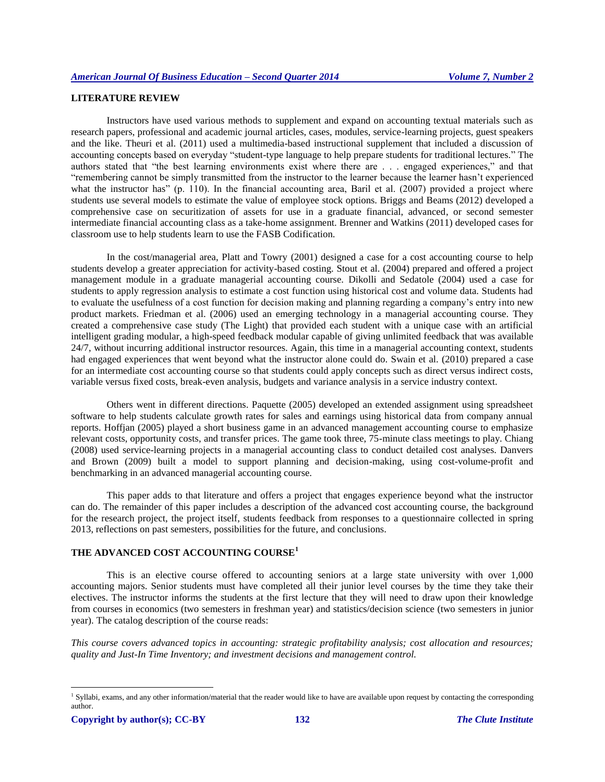# **LITERATURE REVIEW**

Instructors have used various methods to supplement and expand on accounting textual materials such as research papers, professional and academic journal articles, cases, modules, service-learning projects, guest speakers and the like. Theuri et al. (2011) used a multimedia-based instructional supplement that included a discussion of accounting concepts based on everyday "student-type language to help prepare students for traditional lectures." The authors stated that "the best learning environments exist where there are . . . engaged experiences," and that "remembering cannot be simply transmitted from the instructor to the learner because the learner hasn't experienced what the instructor has" (p. 110). In the financial accounting area, Baril et al. (2007) provided a project where students use several models to estimate the value of employee stock options. Briggs and Beams (2012) developed a comprehensive case on securitization of assets for use in a graduate financial, advanced, or second semester intermediate financial accounting class as a take-home assignment. Brenner and Watkins (2011) developed cases for classroom use to help students learn to use the FASB Codification.

In the cost/managerial area, Platt and Towry (2001) designed a case for a cost accounting course to help students develop a greater appreciation for activity-based costing. Stout et al. (2004) prepared and offered a project management module in a graduate managerial accounting course. Dikolli and Sedatole (2004) used a case for students to apply regression analysis to estimate a cost function using historical cost and volume data. Students had to evaluate the usefulness of a cost function for decision making and planning regarding a company's entry into new product markets. Friedman et al. (2006) used an emerging technology in a managerial accounting course. They created a comprehensive case study (The Light) that provided each student with a unique case with an artificial intelligent grading modular, a high-speed feedback modular capable of giving unlimited feedback that was available 24/7, without incurring additional instructor resources. Again, this time in a managerial accounting context, students had engaged experiences that went beyond what the instructor alone could do. Swain et al. (2010) prepared a case for an intermediate cost accounting course so that students could apply concepts such as direct versus indirect costs, variable versus fixed costs, break-even analysis, budgets and variance analysis in a service industry context.

Others went in different directions. Paquette (2005) developed an extended assignment using spreadsheet software to help students calculate growth rates for sales and earnings using historical data from company annual reports. Hoffjan (2005) played a short business game in an advanced management accounting course to emphasize relevant costs, opportunity costs, and transfer prices. The game took three, 75-minute class meetings to play. Chiang (2008) used service-learning projects in a managerial accounting class to conduct detailed cost analyses. Danvers and Brown (2009) built a model to support planning and decision-making, using cost-volume-profit and benchmarking in an advanced managerial accounting course.

This paper adds to that literature and offers a project that engages experience beyond what the instructor can do. The remainder of this paper includes a description of the advanced cost accounting course, the background for the research project, the project itself, students feedback from responses to a questionnaire collected in spring 2013, reflections on past semesters, possibilities for the future, and conclusions.

# **THE ADVANCED COST ACCOUNTING COURSE<sup>1</sup>**

This is an elective course offered to accounting seniors at a large state university with over 1,000 accounting majors. Senior students must have completed all their junior level courses by the time they take their electives. The instructor informs the students at the first lecture that they will need to draw upon their knowledge from courses in economics (two semesters in freshman year) and statistics/decision science (two semesters in junior year). The catalog description of the course reads:

*This course covers advanced topics in accounting: strategic profitability analysis; cost allocation and resources; quality and Just-In Time Inventory; and investment decisions and management control.*

l

<sup>&</sup>lt;sup>1</sup> Syllabi, exams, and any other information/material that the reader would like to have are available upon request by contacting the corresponding author.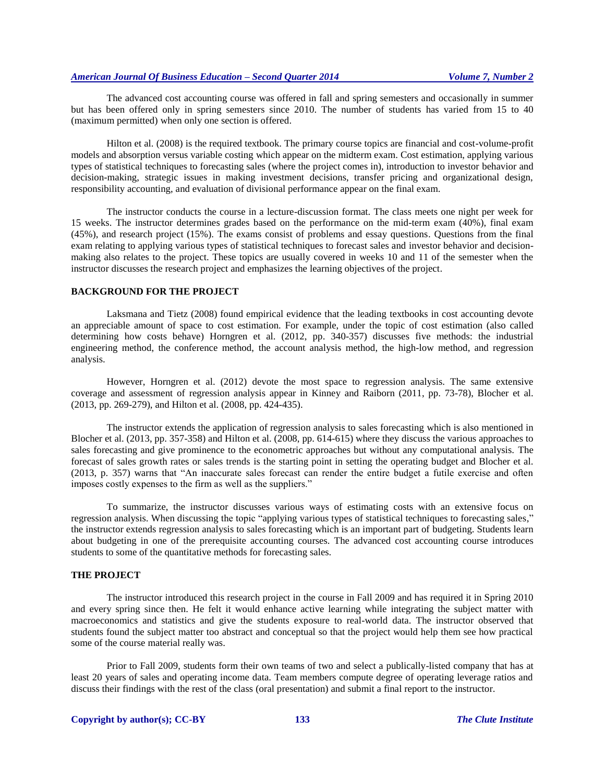The advanced cost accounting course was offered in fall and spring semesters and occasionally in summer but has been offered only in spring semesters since 2010. The number of students has varied from 15 to 40 (maximum permitted) when only one section is offered.

Hilton et al. (2008) is the required textbook. The primary course topics are financial and cost-volume-profit models and absorption versus variable costing which appear on the midterm exam. Cost estimation, applying various types of statistical techniques to forecasting sales (where the project comes in), introduction to investor behavior and decision-making, strategic issues in making investment decisions, transfer pricing and organizational design, responsibility accounting, and evaluation of divisional performance appear on the final exam.

The instructor conducts the course in a lecture-discussion format. The class meets one night per week for 15 weeks. The instructor determines grades based on the performance on the mid-term exam (40%), final exam (45%), and research project (15%). The exams consist of problems and essay questions. Questions from the final exam relating to applying various types of statistical techniques to forecast sales and investor behavior and decisionmaking also relates to the project. These topics are usually covered in weeks 10 and 11 of the semester when the instructor discusses the research project and emphasizes the learning objectives of the project.

#### **BACKGROUND FOR THE PROJECT**

Laksmana and Tietz (2008) found empirical evidence that the leading textbooks in cost accounting devote an appreciable amount of space to cost estimation. For example, under the topic of cost estimation (also called determining how costs behave) Horngren et al. (2012, pp. 340-357) discusses five methods: the industrial engineering method, the conference method, the account analysis method, the high-low method, and regression analysis.

However, Horngren et al. (2012) devote the most space to regression analysis. The same extensive coverage and assessment of regression analysis appear in Kinney and Raiborn (2011, pp. 73-78), Blocher et al. (2013, pp. 269-279), and Hilton et al. (2008, pp. 424-435).

The instructor extends the application of regression analysis to sales forecasting which is also mentioned in Blocher et al. (2013, pp. 357-358) and Hilton et al. (2008, pp. 614-615) where they discuss the various approaches to sales forecasting and give prominence to the econometric approaches but without any computational analysis. The forecast of sales growth rates or sales trends is the starting point in setting the operating budget and Blocher et al. (2013, p. 357) warns that "An inaccurate sales forecast can render the entire budget a futile exercise and often imposes costly expenses to the firm as well as the suppliers."

To summarize, the instructor discusses various ways of estimating costs with an extensive focus on regression analysis. When discussing the topic "applying various types of statistical techniques to forecasting sales," the instructor extends regression analysis to sales forecasting which is an important part of budgeting. Students learn about budgeting in one of the prerequisite accounting courses. The advanced cost accounting course introduces students to some of the quantitative methods for forecasting sales.

#### **THE PROJECT**

The instructor introduced this research project in the course in Fall 2009 and has required it in Spring 2010 and every spring since then. He felt it would enhance active learning while integrating the subject matter with macroeconomics and statistics and give the students exposure to real-world data. The instructor observed that students found the subject matter too abstract and conceptual so that the project would help them see how practical some of the course material really was.

Prior to Fall 2009, students form their own teams of two and select a publically-listed company that has at least 20 years of sales and operating income data. Team members compute degree of operating leverage ratios and discuss their findings with the rest of the class (oral presentation) and submit a final report to the instructor.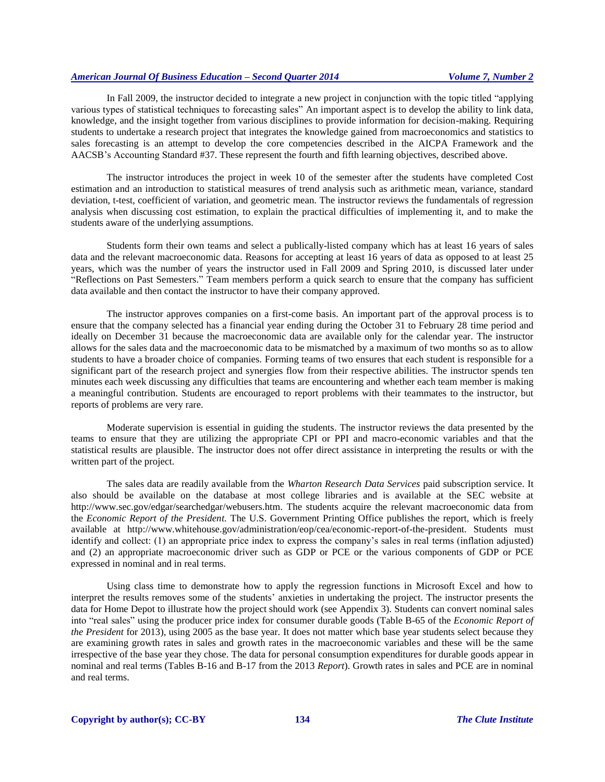In Fall 2009, the instructor decided to integrate a new project in conjunction with the topic titled "applying various types of statistical techniques to forecasting sales" An important aspect is to develop the ability to link data, knowledge, and the insight together from various disciplines to provide information for decision-making. Requiring students to undertake a research project that integrates the knowledge gained from macroeconomics and statistics to sales forecasting is an attempt to develop the core competencies described in the AICPA Framework and the AACSB's Accounting Standard #37. These represent the fourth and fifth learning objectives, described above.

The instructor introduces the project in week 10 of the semester after the students have completed Cost estimation and an introduction to statistical measures of trend analysis such as arithmetic mean, variance, standard deviation, t-test, coefficient of variation, and geometric mean. The instructor reviews the fundamentals of regression analysis when discussing cost estimation, to explain the practical difficulties of implementing it, and to make the students aware of the underlying assumptions.

Students form their own teams and select a publically-listed company which has at least 16 years of sales data and the relevant macroeconomic data. Reasons for accepting at least 16 years of data as opposed to at least 25 years, which was the number of years the instructor used in Fall 2009 and Spring 2010, is discussed later under "Reflections on Past Semesters." Team members perform a quick search to ensure that the company has sufficient data available and then contact the instructor to have their company approved.

The instructor approves companies on a first-come basis. An important part of the approval process is to ensure that the company selected has a financial year ending during the October 31 to February 28 time period and ideally on December 31 because the macroeconomic data are available only for the calendar year. The instructor allows for the sales data and the macroeconomic data to be mismatched by a maximum of two months so as to allow students to have a broader choice of companies. Forming teams of two ensures that each student is responsible for a significant part of the research project and synergies flow from their respective abilities. The instructor spends ten minutes each week discussing any difficulties that teams are encountering and whether each team member is making a meaningful contribution. Students are encouraged to report problems with their teammates to the instructor, but reports of problems are very rare.

Moderate supervision is essential in guiding the students. The instructor reviews the data presented by the teams to ensure that they are utilizing the appropriate CPI or PPI and macro-economic variables and that the statistical results are plausible. The instructor does not offer direct assistance in interpreting the results or with the written part of the project.

The sales data are readily available from the *Wharton Research Data Services* paid subscription service. It also should be available on the database at most college libraries and is available at the SEC website at http://www.sec.gov/edgar/searchedgar/webusers.htm. The students acquire the relevant macroeconomic data from the *Economic Report of the President.* The U.S. Government Printing Office publishes the report, which is freely available at http://www.whitehouse.gov/administration/eop/cea/economic-report-of-the-president. Students must identify and collect: (1) an appropriate price index to express the company's sales in real terms (inflation adjusted) and (2) an appropriate macroeconomic driver such as GDP or PCE or the various components of GDP or PCE expressed in nominal and in real terms.

Using class time to demonstrate how to apply the regression functions in Microsoft Excel and how to interpret the results removes some of the students' anxieties in undertaking the project. The instructor presents the data for Home Depot to illustrate how the project should work (see Appendix 3). Students can convert nominal sales into "real sales" using the producer price index for consumer durable goods (Table B-65 of the *Economic Report of the President* for 2013), using 2005 as the base year. It does not matter which base year students select because they are examining growth rates in sales and growth rates in the macroeconomic variables and these will be the same irrespective of the base year they chose. The data for personal consumption expenditures for durable goods appear in nominal and real terms (Tables B-16 and B-17 from the 2013 *Report*). Growth rates in sales and PCE are in nominal and real terms.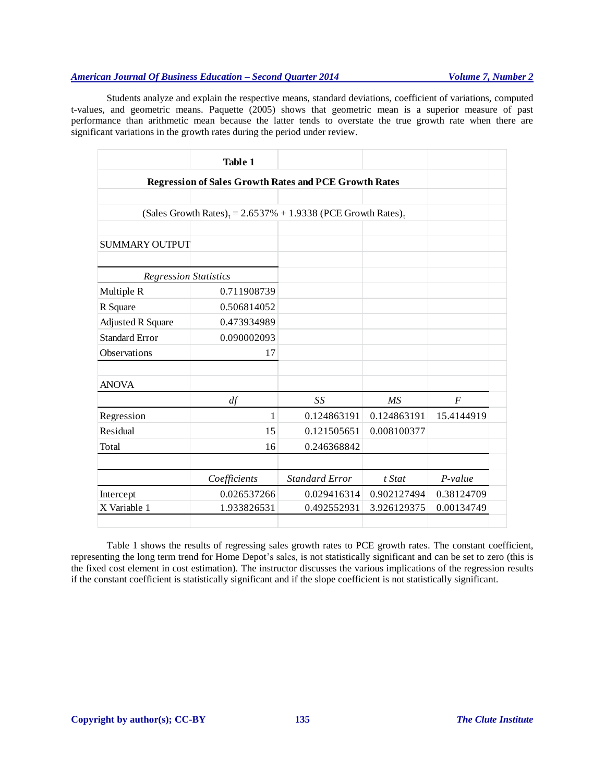Students analyze and explain the respective means, standard deviations, coefficient of variations, computed t-values, and geometric means. Paquette (2005) shows that geometric mean is a superior measure of past performance than arithmetic mean because the latter tends to overstate the true growth rate when there are significant variations in the growth rates during the period under review.

|                                                              | Table 1                                                                                 |                       |             |                |  |  |  |  |
|--------------------------------------------------------------|-----------------------------------------------------------------------------------------|-----------------------|-------------|----------------|--|--|--|--|
| <b>Regression of Sales Growth Rates and PCE Growth Rates</b> |                                                                                         |                       |             |                |  |  |  |  |
|                                                              |                                                                                         |                       |             |                |  |  |  |  |
|                                                              | (Sales Growth Rates) <sub>t</sub> = $2.6537\% + 1.9338$ (PCE Growth Rates) <sub>t</sub> |                       |             |                |  |  |  |  |
|                                                              |                                                                                         |                       |             |                |  |  |  |  |
| <b>SUMMARY OUTPUT</b>                                        |                                                                                         |                       |             |                |  |  |  |  |
| <b>Regression Statistics</b>                                 |                                                                                         |                       |             |                |  |  |  |  |
| Multiple R                                                   | 0.711908739                                                                             |                       |             |                |  |  |  |  |
| R Square                                                     | 0.506814052                                                                             |                       |             |                |  |  |  |  |
| <b>Adjusted R Square</b>                                     | 0.473934989                                                                             |                       |             |                |  |  |  |  |
| <b>Standard Error</b>                                        | 0.090002093                                                                             |                       |             |                |  |  |  |  |
| Observations                                                 | 17                                                                                      |                       |             |                |  |  |  |  |
|                                                              |                                                                                         |                       |             |                |  |  |  |  |
| <b>ANOVA</b>                                                 |                                                                                         |                       |             |                |  |  |  |  |
|                                                              | df                                                                                      | SS                    | <b>MS</b>   | $\overline{F}$ |  |  |  |  |
| Regression                                                   | 1                                                                                       | 0.124863191           | 0.124863191 | 15.4144919     |  |  |  |  |
| Residual                                                     | 15                                                                                      | 0.121505651           | 0.008100377 |                |  |  |  |  |
| Total                                                        | 16                                                                                      | 0.246368842           |             |                |  |  |  |  |
|                                                              |                                                                                         |                       |             |                |  |  |  |  |
|                                                              | Coefficients                                                                            | <b>Standard Error</b> | t Stat      | $P-value$      |  |  |  |  |
| Intercept                                                    | 0.026537266                                                                             | 0.029416314           | 0.902127494 | 0.38124709     |  |  |  |  |
| X Variable 1                                                 | 1.933826531                                                                             | 0.492552931           | 3.926129375 | 0.00134749     |  |  |  |  |
|                                                              |                                                                                         |                       |             |                |  |  |  |  |

Table 1 shows the results of regressing sales growth rates to PCE growth rates. The constant coefficient, representing the long term trend for Home Depot's sales, is not statistically significant and can be set to zero (this is the fixed cost element in cost estimation). The instructor discusses the various implications of the regression results if the constant coefficient is statistically significant and if the slope coefficient is not statistically significant.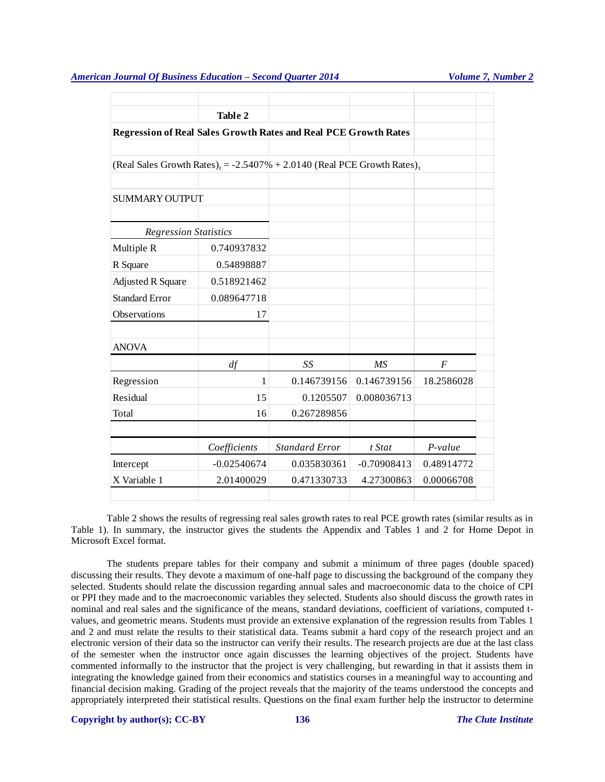|                                                                                                 | <b>Table 2</b> |                       |               |                  |  |  |  |  |
|-------------------------------------------------------------------------------------------------|----------------|-----------------------|---------------|------------------|--|--|--|--|
| <b>Regression of Real Sales Growth Rates and Real PCE Growth Rates</b>                          |                |                       |               |                  |  |  |  |  |
|                                                                                                 |                |                       |               |                  |  |  |  |  |
| (Real Sales Growth Rates) <sub>t</sub> = -2.5407% + 2.0140 (Real PCE Growth Rates) <sub>t</sub> |                |                       |               |                  |  |  |  |  |
|                                                                                                 |                |                       |               |                  |  |  |  |  |
| <b>SUMMARY OUTPUT</b>                                                                           |                |                       |               |                  |  |  |  |  |
|                                                                                                 |                |                       |               |                  |  |  |  |  |
| <b>Regression Statistics</b>                                                                    |                |                       |               |                  |  |  |  |  |
| Multiple R                                                                                      | 0.740937832    |                       |               |                  |  |  |  |  |
| R Square                                                                                        | 0.54898887     |                       |               |                  |  |  |  |  |
| <b>Adjusted R Square</b>                                                                        | 0.518921462    |                       |               |                  |  |  |  |  |
| <b>Standard Error</b>                                                                           | 0.089647718    |                       |               |                  |  |  |  |  |
| Observations                                                                                    | 17             |                       |               |                  |  |  |  |  |
|                                                                                                 |                |                       |               |                  |  |  |  |  |
| <b>ANOVA</b>                                                                                    |                |                       |               |                  |  |  |  |  |
|                                                                                                 | df             | SS                    | MS            | $\boldsymbol{F}$ |  |  |  |  |
| Regression                                                                                      | 1              | 0.146739156           | 0.146739156   | 18.2586028       |  |  |  |  |
| Residual                                                                                        | 15             | 0.1205507             | 0.008036713   |                  |  |  |  |  |
| Total                                                                                           | 16             | 0.267289856           |               |                  |  |  |  |  |
|                                                                                                 |                |                       |               |                  |  |  |  |  |
|                                                                                                 | Coefficients   | <b>Standard Error</b> | t Stat        | P-value          |  |  |  |  |
| Intercept                                                                                       | $-0.02540674$  | 0.035830361           | $-0.70908413$ | 0.48914772       |  |  |  |  |
| X Variable 1                                                                                    | 2.01400029     | 0.471330733           | 4.27300863    | 0.00066708       |  |  |  |  |
|                                                                                                 |                |                       |               |                  |  |  |  |  |

Table 2 shows the results of regressing real sales growth rates to real PCE growth rates (similar results as in Table 1). In summary, the instructor gives the students the Appendix and Tables 1 and 2 for Home Depot in Microsoft Excel format.

The students prepare tables for their company and submit a minimum of three pages (double spaced) discussing their results. They devote a maximum of one-half page to discussing the background of the company they selected. Students should relate the discussion regarding annual sales and macroeconomic data to the choice of CPI or PPI they made and to the macroeconomic variables they selected. Students also should discuss the growth rates in nominal and real sales and the significance of the means, standard deviations, coefficient of variations, computed tvalues, and geometric means. Students must provide an extensive explanation of the regression results from Tables 1 and 2 and must relate the results to their statistical data. Teams submit a hard copy of the research project and an electronic version of their data so the instructor can verify their results. The research projects are due at the last class of the semester when the instructor once again discusses the learning objectives of the project. Students have commented informally to the instructor that the project is very challenging, but rewarding in that it assists them in integrating the knowledge gained from their economics and statistics courses in a meaningful way to accounting and financial decision making. Grading of the project reveals that the majority of the teams understood the concepts and appropriately interpreted their statistical results. Questions on the final exam further help the instructor to determine

#### **Copyright by author(s); CC-BY 136** *The Clute Institute*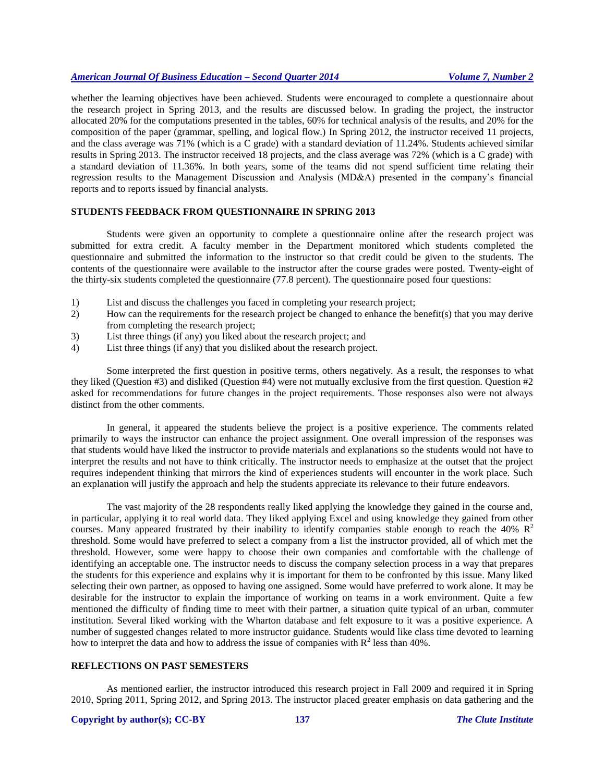whether the learning objectives have been achieved. Students were encouraged to complete a questionnaire about the research project in Spring 2013, and the results are discussed below. In grading the project, the instructor allocated 20% for the computations presented in the tables, 60% for technical analysis of the results, and 20% for the composition of the paper (grammar, spelling, and logical flow.) In Spring 2012, the instructor received 11 projects, and the class average was 71% (which is a C grade) with a standard deviation of 11.24%. Students achieved similar results in Spring 2013. The instructor received 18 projects, and the class average was 72% (which is a C grade) with a standard deviation of 11.36%. In both years, some of the teams did not spend sufficient time relating their regression results to the Management Discussion and Analysis (MD&A) presented in the company's financial reports and to reports issued by financial analysts.

#### **STUDENTS FEEDBACK FROM QUESTIONNAIRE IN SPRING 2013**

Students were given an opportunity to complete a questionnaire online after the research project was submitted for extra credit. A faculty member in the Department monitored which students completed the questionnaire and submitted the information to the instructor so that credit could be given to the students. The contents of the questionnaire were available to the instructor after the course grades were posted. Twenty-eight of the thirty-six students completed the questionnaire (77.8 percent). The questionnaire posed four questions:

- 1) List and discuss the challenges you faced in completing your research project;
- 2) How can the requirements for the research project be changed to enhance the benefit(s) that you may derive from completing the research project;
- 3) List three things (if any) you liked about the research project; and
- 4) List three things (if any) that you disliked about the research project.

Some interpreted the first question in positive terms, others negatively. As a result, the responses to what they liked (Question #3) and disliked (Question #4) were not mutually exclusive from the first question. Question #2 asked for recommendations for future changes in the project requirements. Those responses also were not always distinct from the other comments.

In general, it appeared the students believe the project is a positive experience. The comments related primarily to ways the instructor can enhance the project assignment. One overall impression of the responses was that students would have liked the instructor to provide materials and explanations so the students would not have to interpret the results and not have to think critically. The instructor needs to emphasize at the outset that the project requires independent thinking that mirrors the kind of experiences students will encounter in the work place. Such an explanation will justify the approach and help the students appreciate its relevance to their future endeavors.

The vast majority of the 28 respondents really liked applying the knowledge they gained in the course and, in particular, applying it to real world data. They liked applying Excel and using knowledge they gained from other courses. Many appeared frustrated by their inability to identify companies stable enough to reach the 40%  $\mathbb{R}^2$ threshold. Some would have preferred to select a company from a list the instructor provided, all of which met the threshold. However, some were happy to choose their own companies and comfortable with the challenge of identifying an acceptable one. The instructor needs to discuss the company selection process in a way that prepares the students for this experience and explains why it is important for them to be confronted by this issue. Many liked selecting their own partner, as opposed to having one assigned. Some would have preferred to work alone. It may be desirable for the instructor to explain the importance of working on teams in a work environment. Quite a few mentioned the difficulty of finding time to meet with their partner, a situation quite typical of an urban, commuter institution. Several liked working with the Wharton database and felt exposure to it was a positive experience. A number of suggested changes related to more instructor guidance. Students would like class time devoted to learning how to interpret the data and how to address the issue of companies with  $R^2$  less than 40%.

### **REFLECTIONS ON PAST SEMESTERS**

As mentioned earlier, the instructor introduced this research project in Fall 2009 and required it in Spring 2010, Spring 2011, Spring 2012, and Spring 2013. The instructor placed greater emphasis on data gathering and the

#### **Copyright by author(s); CC-BY 137** *The Clute Institute*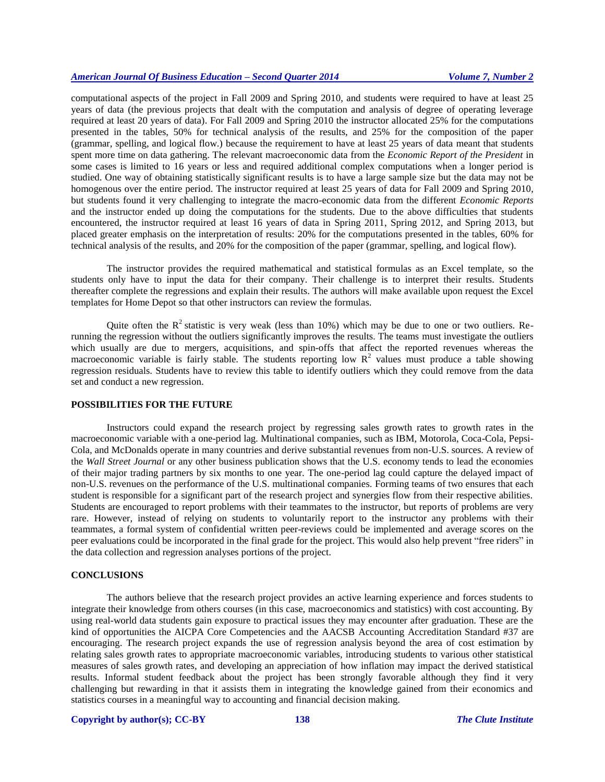computational aspects of the project in Fall 2009 and Spring 2010, and students were required to have at least 25 years of data (the previous projects that dealt with the computation and analysis of degree of operating leverage required at least 20 years of data). For Fall 2009 and Spring 2010 the instructor allocated 25% for the computations presented in the tables, 50% for technical analysis of the results, and 25% for the composition of the paper (grammar, spelling, and logical flow.) because the requirement to have at least 25 years of data meant that students spent more time on data gathering. The relevant macroeconomic data from the *Economic Report of the President* in some cases is limited to 16 years or less and required additional complex computations when a longer period is studied. One way of obtaining statistically significant results is to have a large sample size but the data may not be homogenous over the entire period. The instructor required at least 25 years of data for Fall 2009 and Spring 2010, but students found it very challenging to integrate the macro-economic data from the different *Economic Reports* and the instructor ended up doing the computations for the students. Due to the above difficulties that students encountered, the instructor required at least 16 years of data in Spring 2011, Spring 2012, and Spring 2013, but placed greater emphasis on the interpretation of results: 20% for the computations presented in the tables, 60% for technical analysis of the results, and 20% for the composition of the paper (grammar, spelling, and logical flow).

The instructor provides the required mathematical and statistical formulas as an Excel template, so the students only have to input the data for their company. Their challenge is to interpret their results. Students thereafter complete the regressions and explain their results. The authors will make available upon request the Excel templates for Home Depot so that other instructors can review the formulas.

Quite often the  $R^2$  statistic is very weak (less than 10%) which may be due to one or two outliers. Rerunning the regression without the outliers significantly improves the results. The teams must investigate the outliers which usually are due to mergers, acquisitions, and spin-offs that affect the reported revenues whereas the macroeconomic variable is fairly stable. The students reporting low  $R<sup>2</sup>$  values must produce a table showing regression residuals. Students have to review this table to identify outliers which they could remove from the data set and conduct a new regression.

#### **POSSIBILITIES FOR THE FUTURE**

Instructors could expand the research project by regressing sales growth rates to growth rates in the macroeconomic variable with a one-period lag. Multinational companies, such as IBM, Motorola, Coca-Cola, Pepsi-Cola, and McDonalds operate in many countries and derive substantial revenues from non-U.S. sources. A review of the *Wall Street Journal* or any other business publication shows that the U.S. economy tends to lead the economies of their major trading partners by six months to one year. The one-period lag could capture the delayed impact of non-U.S. revenues on the performance of the U.S. multinational companies. Forming teams of two ensures that each student is responsible for a significant part of the research project and synergies flow from their respective abilities. Students are encouraged to report problems with their teammates to the instructor, but reports of problems are very rare. However, instead of relying on students to voluntarily report to the instructor any problems with their teammates, a formal system of confidential written peer-reviews could be implemented and average scores on the peer evaluations could be incorporated in the final grade for the project. This would also help prevent "free riders" in the data collection and regression analyses portions of the project.

#### **CONCLUSIONS**

The authors believe that the research project provides an active learning experience and forces students to integrate their knowledge from others courses (in this case, macroeconomics and statistics) with cost accounting. By using real-world data students gain exposure to practical issues they may encounter after graduation. These are the kind of opportunities the AICPA Core Competencies and the AACSB Accounting Accreditation Standard #37 are encouraging. The research project expands the use of regression analysis beyond the area of cost estimation by relating sales growth rates to appropriate macroeconomic variables, introducing students to various other statistical measures of sales growth rates, and developing an appreciation of how inflation may impact the derived statistical results. Informal student feedback about the project has been strongly favorable although they find it very challenging but rewarding in that it assists them in integrating the knowledge gained from their economics and statistics courses in a meaningful way to accounting and financial decision making.

#### **Copyright by author(s); CC-BY 138** *The Clute Institute*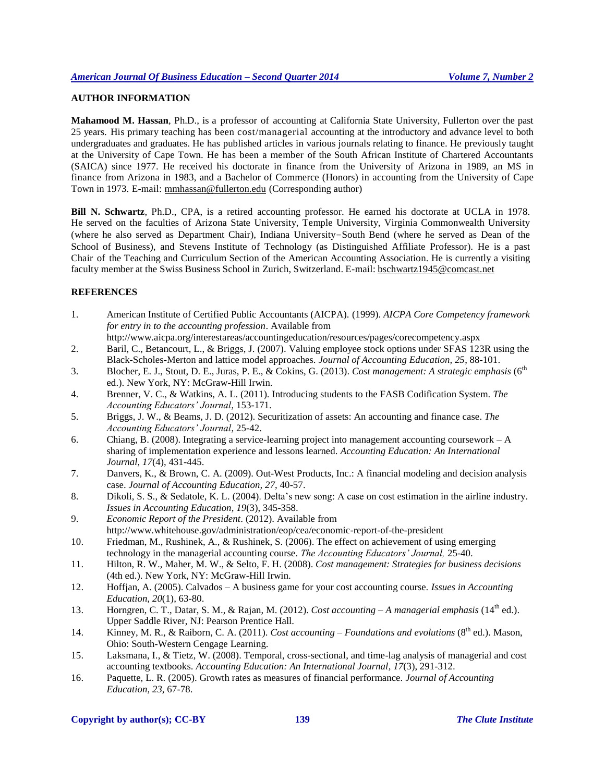## **AUTHOR INFORMATION**

**Mahamood M. Hassan**, Ph.D., is a professor of accounting at California State University, Fullerton over the past 25 years. His primary teaching has been cost/managerial accounting at the introductory and advance level to both undergraduates and graduates. He has published articles in various journals relating to finance. He previously taught at the University of Cape Town. He has been a member of the South African Institute of Chartered Accountants (SAICA) since 1977. He received his doctorate in finance from the University of Arizona in 1989, an MS in finance from Arizona in 1983, and a Bachelor of Commerce (Honors) in accounting from the University of Cape Town in 1973. E-mail: [mmhassan@fullerton.edu](mailto:mmhassan@fullerton.edu) (Corresponding author)

**Bill N. Schwartz**, Ph.D., CPA, is a retired accounting professor. He earned his doctorate at UCLA in 1978. He served on the faculties of Arizona State University, Temple University, Virginia Commonwealth University (where he also served as Department Chair), Indiana University-South Bend (where he served as Dean of the School of Business), and Stevens Institute of Technology (as Distinguished Affiliate Professor). He is a past Chair of the Teaching and Curriculum Section of the American Accounting Association. He is currently a visiting faculty member at the Swiss Business School in Zurich, Switzerland. E-mail: bschwartz1945@comcast.net

#### **REFERENCES**

- 1. American Institute of Certified Public Accountants (AICPA). (1999). *AICPA Core Competency framework for entry in to the accounting profession*. Available from
- http://www.aicpa.org/interestareas/accountingeducation/resources/pages/corecompetency.aspx 2. Baril, C., Betancourt, L., & Briggs, J. (2007). Valuing employee stock options under SFAS 123R using the Black-Scholes-Merton and lattice model approaches. *Journal of Accounting Education, 25*, 88-101.
- 3. Blocher, E. J., Stout, D. E., Juras, P. E., & Cokins, G. (2013). *Cost management: A strategic emphasis* (6<sup>th</sup> ed.). New York, NY: McGraw-Hill Irwin.
- 4. Brenner, V. C., & Watkins, A. L. (2011). Introducing students to the FASB Codification System. *The Accounting Educators' Journal*, 153-171.
- 5. Briggs, J. W., & Beams, J. D. (2012). Securitization of assets: An accounting and finance case. *The Accounting Educators' Journal*, 25-42.
- 6. Chiang, B. (2008). Integrating a service-learning project into management accounting coursework A sharing of implementation experience and lessons learned. *Accounting Education: An International Journal, 17*(4), 431-445.
- 7. Danvers, K., & Brown, C. A. (2009). Out-West Products, Inc.: A financial modeling and decision analysis case. *Journal of Accounting Education, 27*, 40-57.
- 8. Dikoli, S. S., & Sedatole, K. L. (2004). Delta's new song: A case on cost estimation in the airline industry. *Issues in Accounting Education, 19*(3), 345-358.
- 9. *Economic Report of the President*. (2012). Available from http://www.whitehouse.gov/administration/eop/cea/economic-report-of-the-president
- 10. Friedman, M., Rushinek, A., & Rushinek, S. (2006). The effect on achievement of using emerging technology in the managerial accounting course. *The Accounting Educators' Journal,* 25-40.
- 11. Hilton, R. W., Maher, M. W., & Selto, F. H. (2008). *Cost management: Strategies for business decisions* (4th ed.). New York, NY: McGraw-Hill Irwin.
- 12. Hoffjan, A. (2005). Calvados A business game for your cost accounting course. *Issues in Accounting Education, 20*(1), 63-80.
- 13. Horngren, C. T., Datar, S. M., & Rajan, M. (2012). *Cost accounting A managerial emphasis* (14<sup>th</sup> ed.). Upper Saddle River, NJ: Pearson Prentice Hall.
- 14. Kinney, M. R., & Raiborn, C. A. (2011). *Cost accounting Foundations and evolutions* (8<sup>th</sup> ed.). Mason, Ohio: South-Western Cengage Learning.
- 15. Laksmana, I., & Tietz, W. (2008). Temporal, cross-sectional, and time-lag analysis of managerial and cost accounting textbooks. *Accounting Education: An International Journal, 17*(3), 291-312.
- 16. Paquette, L. R. (2005). Growth rates as measures of financial performance. *Journal of Accounting Education, 23*, 67-78.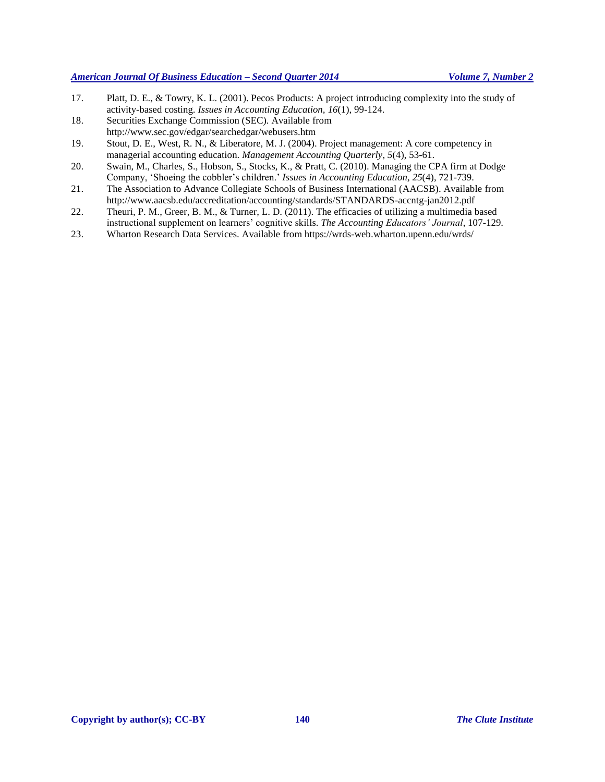- 17. Platt, D. E., & Towry, K. L. (2001). Pecos Products: A project introducing complexity into the study of activity-based costing. *Issues in Accounting Education, 16*(1), 99-124.
- 18. Securities Exchange Commission (SEC). Available from http://www.sec.gov/edgar/searchedgar/webusers.htm
- 19. Stout, D. E., West, R. N., & Liberatore, M. J. (2004). Project management: A core competency in managerial accounting education. *Management Accounting Quarterly, 5*(4), 53-61.
- 20. Swain, M., Charles, S., Hobson, S., Stocks, K., & Pratt, C. (2010). Managing the CPA firm at Dodge Company, 'Shoeing the cobbler's children.' *Issues in Accounting Education, 25*(4), 721-739.
- 21. The Association to Advance Collegiate Schools of Business International (AACSB). Available from http://www.aacsb.edu/accreditation/accounting/standards/STANDARDS-accntg-jan2012.pdf
- 22. Theuri, P. M., Greer, B. M., & Turner, L. D. (2011). The efficacies of utilizing a multimedia based instructional supplement on learners' cognitive skills. *The Accounting Educators' Journal*, 107-129.
- 23. Wharton Research Data Services. Available from https://wrds-web.wharton.upenn.edu/wrds/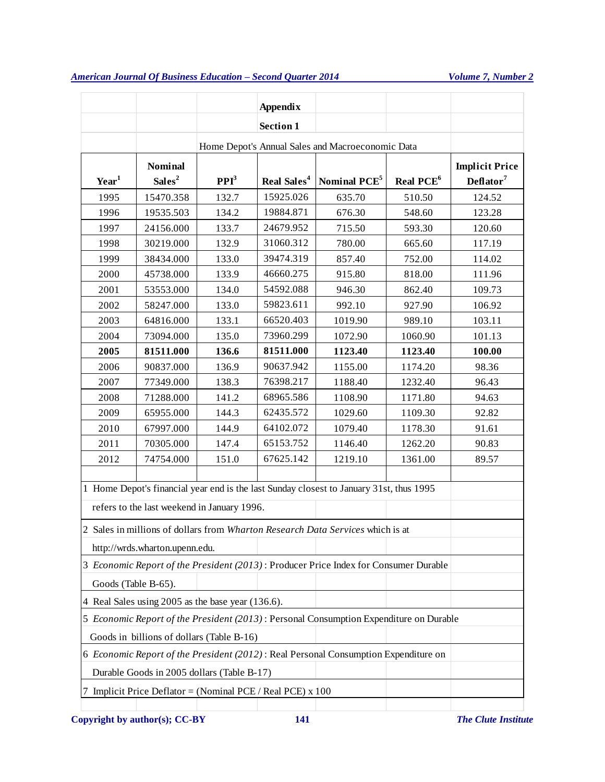|                                                                                        |                                                                                                                                        |                                                                         | <b>Appendix</b>  |                                                                                      |                       |                                                |  |  |
|----------------------------------------------------------------------------------------|----------------------------------------------------------------------------------------------------------------------------------------|-------------------------------------------------------------------------|------------------|--------------------------------------------------------------------------------------|-----------------------|------------------------------------------------|--|--|
|                                                                                        |                                                                                                                                        |                                                                         | <b>Section 1</b> |                                                                                      |                       |                                                |  |  |
| Home Depot's Annual Sales and Macroeconomic Data                                       |                                                                                                                                        |                                                                         |                  |                                                                                      |                       |                                                |  |  |
| $\mathbf{Year}^1$                                                                      | <b>Nominal</b><br>Sales <sup>2</sup>                                                                                                   | PPI <sup>3</sup><br>Real Sales <sup>4</sup><br>Nominal PCE <sup>5</sup> |                  |                                                                                      | Real PCE <sup>6</sup> | <b>Implicit Price</b><br>Deflator <sup>7</sup> |  |  |
| 1995                                                                                   | 15470.358                                                                                                                              | 132.7                                                                   | 15925.026        | 635.70                                                                               | 510.50                | 124.52                                         |  |  |
| 1996                                                                                   | 19535.503                                                                                                                              | 134.2                                                                   | 19884.871        | 676.30                                                                               | 548.60                | 123.28                                         |  |  |
| 1997                                                                                   | 24156.000                                                                                                                              | 133.7                                                                   | 24679.952        | 715.50                                                                               | 593.30                | 120.60                                         |  |  |
| 1998                                                                                   | 30219.000                                                                                                                              | 132.9                                                                   | 31060.312        | 780.00                                                                               | 665.60                | 117.19                                         |  |  |
| 1999                                                                                   | 38434.000                                                                                                                              | 133.0                                                                   | 39474.319        | 857.40                                                                               | 752.00                | 114.02                                         |  |  |
| 2000                                                                                   | 45738.000                                                                                                                              | 133.9                                                                   | 46660.275        | 915.80                                                                               | 818.00                | 111.96                                         |  |  |
| 2001                                                                                   | 53553.000                                                                                                                              | 134.0                                                                   | 54592.088        | 946.30                                                                               | 862.40                | 109.73                                         |  |  |
| 2002                                                                                   | 58247.000                                                                                                                              | 133.0                                                                   | 59823.611        | 992.10                                                                               | 927.90                | 106.92                                         |  |  |
| 2003                                                                                   | 64816.000                                                                                                                              | 133.1                                                                   | 66520.403        | 1019.90                                                                              | 989.10                | 103.11                                         |  |  |
| 2004                                                                                   | 73094.000                                                                                                                              | 135.0                                                                   | 73960.299        | 1072.90                                                                              | 1060.90               | 101.13                                         |  |  |
| 2005                                                                                   | 81511.000                                                                                                                              | 136.6                                                                   | 81511.000        | 1123.40                                                                              | 1123.40               | 100.00                                         |  |  |
| 2006                                                                                   | 90837.000                                                                                                                              | 136.9                                                                   | 90637.942        | 1155.00                                                                              | 1174.20               | 98.36                                          |  |  |
| 2007                                                                                   | 77349.000                                                                                                                              | 138.3                                                                   | 76398.217        | 1188.40                                                                              | 1232.40               | 96.43                                          |  |  |
| 2008                                                                                   | 71288.000                                                                                                                              | 141.2                                                                   | 68965.586        | 1108.90                                                                              | 1171.80               | 94.63                                          |  |  |
| 2009                                                                                   | 65955.000                                                                                                                              | 144.3                                                                   | 62435.572        | 1029.60                                                                              | 1109.30               | 92.82                                          |  |  |
| 2010                                                                                   | 67997.000                                                                                                                              | 144.9                                                                   | 64102.072        | 1079.40                                                                              | 1178.30               | 91.61                                          |  |  |
| 2011                                                                                   | 70305.000                                                                                                                              | 147.4                                                                   | 65153.752        | 1146.40                                                                              | 1262.20               | 90.83                                          |  |  |
| 2012                                                                                   | 74754.000                                                                                                                              | 151.0                                                                   | 67625.142        | 1219.10                                                                              | 1361.00               | 89.57                                          |  |  |
|                                                                                        | 1 Home Depot's financial year end is the last Sunday closest to January 31st, thus 1995<br>refers to the last weekend in January 1996. |                                                                         |                  |                                                                                      |                       |                                                |  |  |
|                                                                                        |                                                                                                                                        |                                                                         |                  | 2 Sales in millions of dollars from Wharton Research Data Services which is at       |                       |                                                |  |  |
|                                                                                        | http://wrds.wharton.upenn.edu.                                                                                                         |                                                                         |                  |                                                                                      |                       |                                                |  |  |
|                                                                                        |                                                                                                                                        |                                                                         |                  | 3 Economic Report of the President (2013): Producer Price Index for Consumer Durable |                       |                                                |  |  |
|                                                                                        | Goods (Table B-65).                                                                                                                    |                                                                         |                  |                                                                                      |                       |                                                |  |  |
| 4 Real Sales using 2005 as the base year (136.6).                                      |                                                                                                                                        |                                                                         |                  |                                                                                      |                       |                                                |  |  |
| 5 Economic Report of the President (2013): Personal Consumption Expenditure on Durable |                                                                                                                                        |                                                                         |                  |                                                                                      |                       |                                                |  |  |
| Goods in billions of dollars (Table B-16)                                              |                                                                                                                                        |                                                                         |                  |                                                                                      |                       |                                                |  |  |
| 6 Economic Report of the President (2012): Real Personal Consumption Expenditure on    |                                                                                                                                        |                                                                         |                  |                                                                                      |                       |                                                |  |  |
| Durable Goods in 2005 dollars (Table B-17)                                             |                                                                                                                                        |                                                                         |                  |                                                                                      |                       |                                                |  |  |
| 7 Implicit Price Deflator = (Nominal PCE / Real PCE) $x$ 100                           |                                                                                                                                        |                                                                         |                  |                                                                                      |                       |                                                |  |  |
|                                                                                        |                                                                                                                                        |                                                                         |                  |                                                                                      |                       |                                                |  |  |